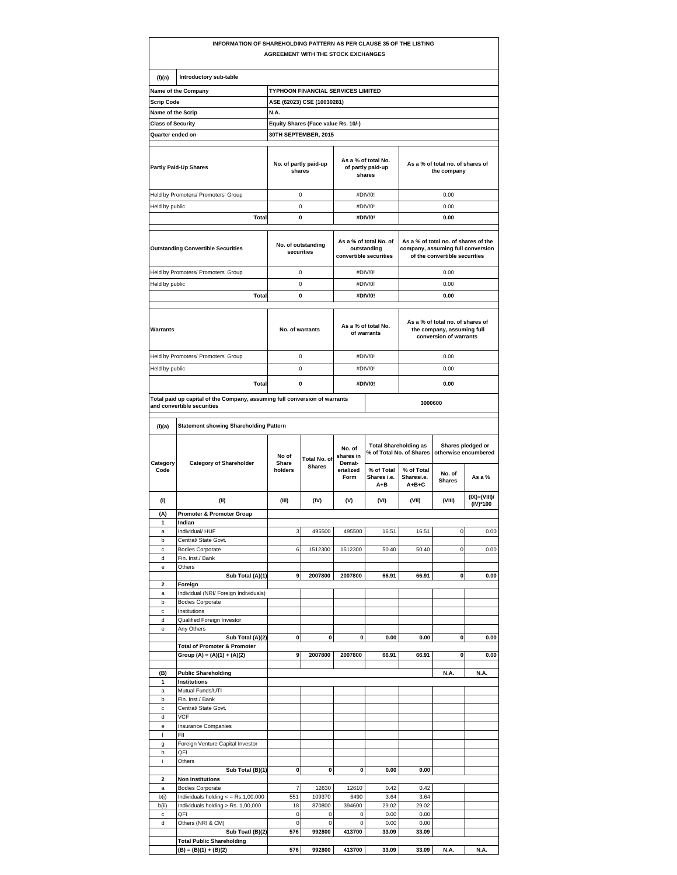|                                           | INFORMATION OF SHAREHOLDING PATTERN AS PER CLAUSE 35 OF THE LISTING                                      | <b>AGREEMENT WITH THE STOCK EXCHANGES</b>                        |                               |                                                                 |                                      |                                                                                                            |                         |                           |  |  |
|-------------------------------------------|----------------------------------------------------------------------------------------------------------|------------------------------------------------------------------|-------------------------------|-----------------------------------------------------------------|--------------------------------------|------------------------------------------------------------------------------------------------------------|-------------------------|---------------------------|--|--|
| (I)(a)                                    | Introductory sub-table                                                                                   |                                                                  |                               |                                                                 |                                      |                                                                                                            |                         |                           |  |  |
|                                           | Name of the Company                                                                                      |                                                                  |                               |                                                                 |                                      |                                                                                                            |                         |                           |  |  |
| <b>Scrip Code</b>                         |                                                                                                          | TYPHOON FINANCIAL SERVICES LIMITED<br>ASE (62023) CSE (10030281) |                               |                                                                 |                                      |                                                                                                            |                         |                           |  |  |
| Name of the Scrip                         |                                                                                                          | N.A.                                                             |                               |                                                                 |                                      |                                                                                                            |                         |                           |  |  |
| <b>Class of Security</b>                  |                                                                                                          | Equity Shares (Face value Rs. 10/-)                              |                               |                                                                 |                                      |                                                                                                            |                         |                           |  |  |
| Quarter ended on                          |                                                                                                          | 30TH SEPTEMBER, 2015                                             |                               |                                                                 |                                      |                                                                                                            |                         |                           |  |  |
|                                           |                                                                                                          |                                                                  |                               |                                                                 |                                      |                                                                                                            |                         |                           |  |  |
| <b>Partly Paid-Up Shares</b>              |                                                                                                          | No. of partly paid-up<br>shares                                  |                               | As a % of total No.<br>of partly paid-up<br>shares              |                                      | As a % of total no. of shares of<br>the company                                                            |                         |                           |  |  |
| Held by Promoters/ Promoters' Group       |                                                                                                          | 0                                                                |                               | #DIV/0!                                                         |                                      | 0.00                                                                                                       |                         |                           |  |  |
| Held by public                            |                                                                                                          | 0                                                                |                               | #DIV/0!                                                         |                                      | 0.00                                                                                                       |                         |                           |  |  |
|                                           | <b>Total</b>                                                                                             | 0                                                                |                               |                                                                 | #DIV/0!                              |                                                                                                            | 0.00                    |                           |  |  |
| <b>Outstanding Convertible Securities</b> |                                                                                                          | No. of outstanding<br>securities                                 |                               | As a % of total No. of<br>outstanding<br>convertible securities |                                      | As a % of total no. of shares of the<br>company, assuming full conversion<br>of the convertible securities |                         |                           |  |  |
| Held by Promoters/ Promoters' Group       |                                                                                                          | 0                                                                |                               |                                                                 | #DIV/0!                              |                                                                                                            | 0.00                    |                           |  |  |
| Held by public                            |                                                                                                          | 0                                                                |                               |                                                                 | #DIV/0!                              |                                                                                                            | 0.00                    |                           |  |  |
| <b>Total</b>                              |                                                                                                          | 0                                                                |                               |                                                                 | #DIV/0!                              |                                                                                                            | 0.00                    |                           |  |  |
|                                           |                                                                                                          |                                                                  |                               |                                                                 |                                      |                                                                                                            |                         |                           |  |  |
| Warrants                                  |                                                                                                          | No. of warrants                                                  |                               | As a % of total No.<br>of warrants                              |                                      | As a % of total no. of shares of<br>the company, assuming full<br>conversion of warrants                   |                         |                           |  |  |
|                                           | Held by Promoters/ Promoters' Group                                                                      | 0                                                                |                               |                                                                 | #DIV/0!                              | 0.00                                                                                                       |                         |                           |  |  |
| Held by public                            |                                                                                                          | 0                                                                |                               | #DIV/0!                                                         |                                      | 0.00                                                                                                       |                         |                           |  |  |
|                                           | <b>Total</b>                                                                                             | 0                                                                |                               | #DIV/0!                                                         |                                      | 0.00                                                                                                       |                         |                           |  |  |
|                                           |                                                                                                          |                                                                  |                               |                                                                 |                                      |                                                                                                            |                         |                           |  |  |
|                                           | Total paid up capital of the Company, assuming full conversion of warrants<br>and convertible securities |                                                                  |                               |                                                                 |                                      | 3000600                                                                                                    |                         |                           |  |  |
| (I)(a)                                    | <b>Statement showing Shareholding Pattern</b>                                                            |                                                                  |                               |                                                                 |                                      |                                                                                                            |                         |                           |  |  |
|                                           | <b>Category of Shareholder</b>                                                                           | No of                                                            | Total No. of<br><b>Shares</b> | No. of<br>shares in<br>Demat-<br>erialized<br>Form              |                                      | <b>Total Shareholding as</b><br>Shares pledged or<br>% of Total No. of Shares<br>otherwise encumbered      |                         |                           |  |  |
| Category<br>Code                          |                                                                                                          | Share<br>holders                                                 |                               |                                                                 | % of Total<br>Shares i.e.<br>$A + B$ | % of Total<br>Sharesi.e.<br>$A + B + C$                                                                    | No. of<br><b>Shares</b> | As a %                    |  |  |
| (1)                                       | (II)                                                                                                     | (III)                                                            | (IV)                          | (V)                                                             | (VI)                                 | (VII)                                                                                                      | (VIII)                  | $(IX)=(VIII)$<br>(IV)*100 |  |  |
| (A)                                       | Promoter & Promoter Group                                                                                |                                                                  |                               |                                                                 |                                      |                                                                                                            |                         |                           |  |  |
| 1                                         | Indian                                                                                                   |                                                                  |                               |                                                                 |                                      |                                                                                                            |                         |                           |  |  |
| $\overline{a}$                            | Individual/ HUF                                                                                          | 3                                                                | 495500                        | 495500                                                          | 16.51                                | 16.51                                                                                                      | $\Omega$                | 0.00                      |  |  |
| b                                         | Central/ State Govt.                                                                                     |                                                                  |                               |                                                                 |                                      |                                                                                                            |                         |                           |  |  |
| c<br>d                                    | <b>Bodies Corporate</b><br>Fin. Inst./ Bank                                                              | 6                                                                | 1512300                       | 1512300                                                         | 50.40                                | 50.40                                                                                                      | 0                       | 0.00                      |  |  |
| е                                         | Others                                                                                                   |                                                                  |                               |                                                                 |                                      |                                                                                                            |                         |                           |  |  |
|                                           | Sub Total (A)(1)                                                                                         | 9                                                                | 2007800                       | 2007800                                                         | 66.91                                | 66.91                                                                                                      | 0                       | 0.00                      |  |  |
| $\overline{\mathbf{2}}$                   | Foreign                                                                                                  |                                                                  |                               |                                                                 |                                      |                                                                                                            |                         |                           |  |  |
| a                                         | Individual (NRI/ Foreign Individuals)                                                                    |                                                                  |                               |                                                                 |                                      |                                                                                                            |                         |                           |  |  |
| b<br>c                                    | <b>Bodies Corporate</b><br>Institutions                                                                  |                                                                  |                               |                                                                 |                                      |                                                                                                            |                         |                           |  |  |
| d                                         | Qualified Foreign Investor                                                                               |                                                                  |                               |                                                                 |                                      |                                                                                                            |                         |                           |  |  |
| e                                         | Any Others                                                                                               |                                                                  |                               |                                                                 |                                      |                                                                                                            |                         |                           |  |  |
|                                           | Sub Total (A)(2)<br><b>Total of Promoter &amp; Promoter</b>                                              | 0                                                                | 0                             | 0                                                               | 0.00                                 | 0.00                                                                                                       | 0                       | 0.00                      |  |  |
|                                           | Group (A) = (A)(1) + (A)(2)                                                                              | 9                                                                | 2007800                       | 2007800                                                         | 66.91                                | 66.91                                                                                                      | 0                       | 0.00                      |  |  |
|                                           |                                                                                                          |                                                                  |                               |                                                                 |                                      |                                                                                                            |                         |                           |  |  |
| (B)                                       | <b>Public Shareholding</b>                                                                               |                                                                  |                               |                                                                 |                                      |                                                                                                            | N.A.                    | N.A.                      |  |  |
| 1<br>a                                    | Institutions<br>Mutual Funds/UTI                                                                         |                                                                  |                               |                                                                 |                                      |                                                                                                            |                         |                           |  |  |
| b                                         | Fin. Inst./ Bank                                                                                         |                                                                  |                               |                                                                 |                                      |                                                                                                            |                         |                           |  |  |
| c                                         | Central/ State Govt.                                                                                     |                                                                  |                               |                                                                 |                                      |                                                                                                            |                         |                           |  |  |
| d                                         | VCF                                                                                                      |                                                                  |                               |                                                                 |                                      |                                                                                                            |                         |                           |  |  |
| е<br>f                                    | Insurance Companies<br>FII                                                                               |                                                                  |                               |                                                                 |                                      |                                                                                                            |                         |                           |  |  |
| g                                         | Foreign Venture Capital Investor                                                                         |                                                                  |                               |                                                                 |                                      |                                                                                                            |                         |                           |  |  |
| h                                         | QFI                                                                                                      |                                                                  |                               |                                                                 |                                      |                                                                                                            |                         |                           |  |  |
| i.                                        | Others                                                                                                   |                                                                  |                               |                                                                 |                                      |                                                                                                            |                         |                           |  |  |
| 2                                         | Sub Total (B)(1)<br><b>Non Institutions</b>                                                              | 0                                                                | 0                             | 0                                                               | 0.00                                 | 0.00                                                                                                       |                         |                           |  |  |
| a                                         | <b>Bodies Corporate</b>                                                                                  | $\overline{7}$                                                   | 12630                         | 12610                                                           | 0.42                                 | 0.42                                                                                                       |                         |                           |  |  |
| b(i)                                      | Individuals holding $\lt$ = Rs.1,00,000                                                                  | 551                                                              | 109370                        | 6490                                                            | 3.64                                 | 3.64                                                                                                       |                         |                           |  |  |
| b(ii)                                     | Individuals holding > Rs. 1,00,000                                                                       | 18                                                               | 870800                        | 394600                                                          | 29.02                                | 29.02                                                                                                      |                         |                           |  |  |
| c<br>d                                    | QFI<br>Others (NRI & CM)                                                                                 | 0<br>0                                                           | 0<br>0                        | 0<br>$\pmb{0}$                                                  | 0.00<br>0.00                         | 0.00<br>0.00                                                                                               |                         |                           |  |  |
|                                           | Sub Toatl (B)(2)                                                                                         | 576                                                              | 992800                        | 413700                                                          | 33.09                                | 33.09                                                                                                      |                         |                           |  |  |
|                                           |                                                                                                          |                                                                  |                               |                                                                 |                                      |                                                                                                            |                         |                           |  |  |
|                                           | <b>Total Public Shareholding</b><br>(B) = (B)(1) + (B)(2)                                                | 576                                                              | 992800                        | 413700                                                          | 33.09                                | 33.09                                                                                                      | N.A.                    | N.A.                      |  |  |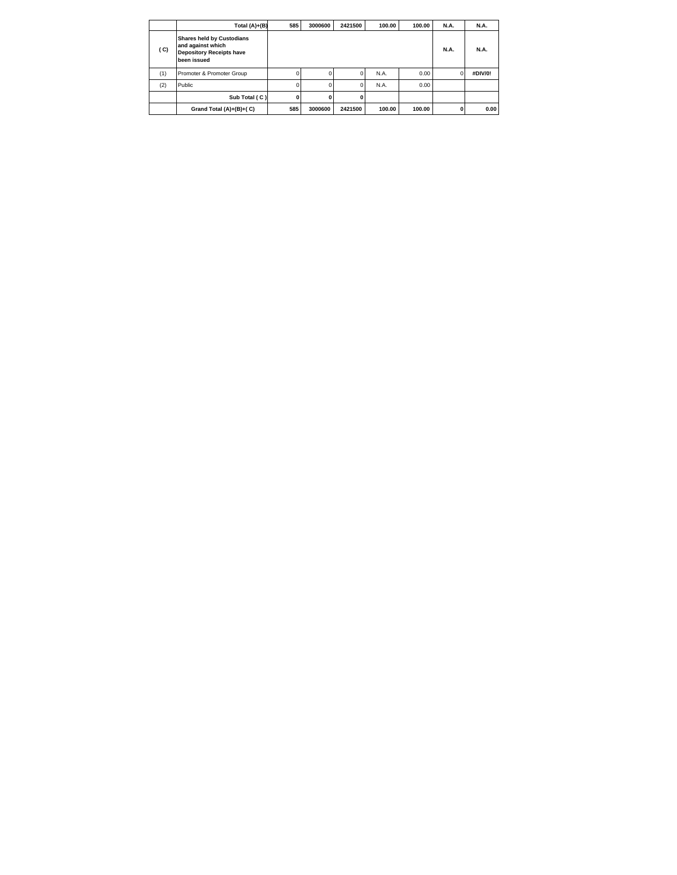|     | Total (A)+(B)                                                                                           | 585 | 3000600  | 2421500 | 100.00 | 100.00 | <b>N.A.</b> | <b>N.A.</b> |
|-----|---------------------------------------------------------------------------------------------------------|-----|----------|---------|--------|--------|-------------|-------------|
| (C) | <b>Shares held by Custodians</b><br>and against which<br><b>Depository Receipts have</b><br>been issued |     |          |         |        |        | <b>N.A.</b> | <b>N.A.</b> |
| (1) | Promoter & Promoter Group                                                                               | 0   | $\Omega$ |         | N.A.   | 0.00   |             | #DIV/0!     |
| (2) | Public                                                                                                  |     | 0        |         | N.A.   | 0.00   |             |             |
|     | Sub Total (C)                                                                                           | O   | ŋ        |         |        |        |             |             |
|     | Grand Total (A)+(B)+(C)                                                                                 | 585 | 3000600  | 2421500 | 100.00 | 100.00 | 0           | 0.00        |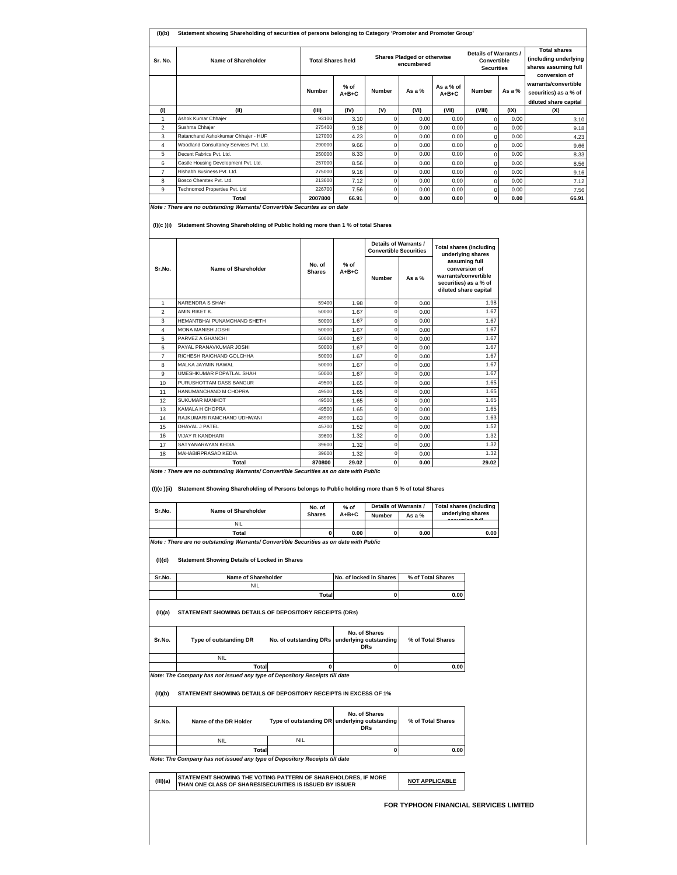| Sr. No.                 | Name of Shareholder                                                                                                                                                                                    | <b>Total Shares held</b>                               |                         | <b>Shares Pladged or otherwise</b><br>encumbered |                                                     |                                                                                                          | Details of Warrants /<br>Convertible<br><b>Securities</b> |        | <b>Total shares</b><br>(including underlying<br>shares assuming full<br>conversion of |  |
|-------------------------|--------------------------------------------------------------------------------------------------------------------------------------------------------------------------------------------------------|--------------------------------------------------------|-------------------------|--------------------------------------------------|-----------------------------------------------------|----------------------------------------------------------------------------------------------------------|-----------------------------------------------------------|--------|---------------------------------------------------------------------------------------|--|
|                         |                                                                                                                                                                                                        | Number                                                 | % of<br>$A + B + C$     | Number                                           | As a %                                              | As a % of<br>A+B+C                                                                                       | <b>Number</b>                                             | As a % | warrants/convertible<br>securities) as a % of<br>diluted share capital                |  |
| (1)                     | (II)                                                                                                                                                                                                   | (III)                                                  | (IV)                    | (V)                                              | (VI)                                                | (VII)                                                                                                    | (VIII)                                                    | (IX)   | (X)                                                                                   |  |
| $\mathbf{1}$            | Ashok Kumar Chhajer                                                                                                                                                                                    | 93100                                                  | 3.10                    | 0                                                | 0.00                                                | 0.00                                                                                                     | $\mathsf 0$                                               | 0.00   | 3.10                                                                                  |  |
| $\overline{\mathbf{c}}$ | Sushma Chhajer                                                                                                                                                                                         | 275400                                                 | 9.18                    | $\mathbf 0$                                      | 0.00                                                | 0.00                                                                                                     | $\mathbf 0$                                               | 0.00   | 9.18                                                                                  |  |
| 3                       | Ratanchand Ashokkumar Chhajer - HUF                                                                                                                                                                    | 127000                                                 | 4.23                    | $\pmb{0}$                                        | 0.00                                                | 0.00                                                                                                     | $\mathbf 0$                                               | 0.00   | 4.23                                                                                  |  |
| 4                       | Woodland Consultancy Services Pvt. Ltd.                                                                                                                                                                | 290000                                                 | 9.66                    | 0                                                | 0.00                                                | 0.00                                                                                                     | $\mathbf 0$                                               | 0.00   | 9.66                                                                                  |  |
| $\mathbf 5$             | Decent Fabrics Pvt. Ltd.                                                                                                                                                                               | 250000                                                 | 8.33                    | $\mathsf 0$                                      | 0.00                                                | 0.00                                                                                                     | $\mathbf 0$                                               | 0.00   | 8.33                                                                                  |  |
| 6                       | Castle Housing Development Pvt. Ltd.                                                                                                                                                                   | 257000                                                 | 8.56                    | $\pmb{0}$                                        | 0.00                                                | 0.00                                                                                                     | 0                                                         | 0.00   | 8.56                                                                                  |  |
| $\overline{7}$          | Rishabh Business Pvt. Ltd.                                                                                                                                                                             | 275000                                                 | 9.16                    | 0                                                | 0.00                                                | 0.00                                                                                                     | $\mathbf 0$                                               | 0.00   | 9.16                                                                                  |  |
| 8                       | Bosco Chemtex Pvt. Ltd.<br>Technomod Properties Pvt. Ltd                                                                                                                                               | 213600                                                 | 7.12                    | $\mathsf 0$                                      | 0.00                                                | 0.00                                                                                                     | $\mathbf 0$                                               | 0.00   | 7.12                                                                                  |  |
| 9                       |                                                                                                                                                                                                        | 226700                                                 | 7.56                    | $\pmb{0}$                                        | 0.00                                                | 0.00                                                                                                     | 0                                                         | 0.00   | 7.56                                                                                  |  |
|                         | Total<br>Note : There are no outstanding Warrants/ Convertible Securites as on date                                                                                                                    | 2007800                                                | 66.91                   | 0                                                | 0.00                                                | 0.00                                                                                                     | $\mathbf 0$                                               | 0.00   | 66.91                                                                                 |  |
|                         | (I)(c)(i) Statement Showing Shareholding of Public holding more than 1 % of total Shares                                                                                                               |                                                        |                         |                                                  |                                                     |                                                                                                          |                                                           |        |                                                                                       |  |
|                         |                                                                                                                                                                                                        | Details of Warrants /<br><b>Convertible Securities</b> |                         |                                                  | <b>Total shares (including</b><br>underlying shares |                                                                                                          |                                                           |        |                                                                                       |  |
| Sr.No.                  | Name of Shareholder                                                                                                                                                                                    | No. of<br><b>Shares</b>                                | $%$ of<br>$A + B + C$   | Number                                           | As a %                                              | assuming full<br>conversion of<br>warrants/convertible<br>securities) as a % of<br>diluted share capital |                                                           |        |                                                                                       |  |
| 1                       | NARENDRA S SHAH                                                                                                                                                                                        | 59400                                                  | 1.98                    | $\bf 0$                                          | 0.00                                                |                                                                                                          | 1.98                                                      |        |                                                                                       |  |
| $\overline{\mathbf{c}}$ | AMIN RIKET K.                                                                                                                                                                                          | 50000                                                  | 1.67                    | $\mathbf 0$                                      | 0.00                                                |                                                                                                          | 1.67                                                      |        |                                                                                       |  |
| 3                       | HEMANTBHAI PUNAMCHAND SHETH                                                                                                                                                                            | 50000                                                  | 1.67                    | $\mathbf 0$                                      | 0.00                                                |                                                                                                          | 1.67                                                      |        |                                                                                       |  |
| 4                       | MONA MANISH JOSHI                                                                                                                                                                                      | 50000                                                  | 1.67                    | $\bf 0$                                          | 0.00                                                |                                                                                                          | 1.67                                                      |        |                                                                                       |  |
| 5                       | PARVEZ A GHANCHI                                                                                                                                                                                       | 50000                                                  | 1.67                    | 0                                                | 0.00                                                |                                                                                                          | 1.67                                                      |        |                                                                                       |  |
| 6                       | PAYAL PRANAVKUMAR JOSHI                                                                                                                                                                                | 50000                                                  | 1.67                    | $\mathbf 0$                                      | 0.00                                                |                                                                                                          | 1.67                                                      |        |                                                                                       |  |
| $\overline{7}$          | RICHESH RAICHAND GOLCHHA                                                                                                                                                                               | 50000                                                  | 1.67                    | $\bf 0$                                          | 0.00                                                |                                                                                                          | 1.67                                                      |        |                                                                                       |  |
| 8                       | MALKA JAYMIN RAWAL                                                                                                                                                                                     | 50000                                                  | 1.67                    | 0                                                | 0.00                                                |                                                                                                          | 1.67                                                      |        |                                                                                       |  |
| 9                       | UMESHKUMAR POPATLAL SHAH                                                                                                                                                                               | 50000                                                  | 1.67                    | $\mathbf 0$                                      | 0.00                                                |                                                                                                          | 1.67                                                      |        |                                                                                       |  |
| 10                      | PURUSHOTTAM DASS BANGUR                                                                                                                                                                                | 49500                                                  | 1.65                    | $\bf 0$                                          | 0.00                                                |                                                                                                          | 1.65                                                      |        |                                                                                       |  |
| 11                      | HANUMANCHAND M CHOPRA                                                                                                                                                                                  | 49500                                                  | 1.65                    | 0                                                | 0.00                                                |                                                                                                          | 1.65                                                      |        |                                                                                       |  |
| 12                      | SUKUMAR MANHOT                                                                                                                                                                                         | 49500<br>49500                                         | 1.65                    | $\mathbf 0$<br>$\mathbf 0$                       | 0.00                                                |                                                                                                          | 1.65<br>1.65                                              |        |                                                                                       |  |
| 13                      | KAMALA H CHOPRA<br>RAJKUMARI RAMCHAND UDHWANI                                                                                                                                                          | 48900                                                  | 1.65                    | 0                                                | 0.00                                                |                                                                                                          | 1.63                                                      |        |                                                                                       |  |
| 14<br>15                | DHAVAL J PATEL                                                                                                                                                                                         | 45700                                                  | 1.63<br>1.52            | $\mathbf 0$                                      | 0.00<br>0.00                                        |                                                                                                          | 1.52                                                      |        |                                                                                       |  |
| 16                      | VIJAY R KANDHARI                                                                                                                                                                                       | 39600                                                  | 1.32                    | $\bf 0$                                          | 0.00                                                |                                                                                                          | 1.32                                                      |        |                                                                                       |  |
| 17                      | SATYANARAYAN KEDIA                                                                                                                                                                                     | 39600                                                  | 1.32                    | 0                                                | 0.00                                                |                                                                                                          | 1.32                                                      |        |                                                                                       |  |
| 18                      | MAHABIRPRASAD KEDIA                                                                                                                                                                                    | 39600                                                  | 1.32                    | $\mathbf 0$                                      | 0.00                                                |                                                                                                          | 1.32                                                      |        |                                                                                       |  |
|                         | Total                                                                                                                                                                                                  | 870800                                                 | 29.02                   | 0                                                | 0.00                                                |                                                                                                          | 29.02                                                     |        |                                                                                       |  |
|                         | Note : There are no outstanding Warrants/ Convertible Securities as on date with Public<br>(I)(c)(ii) Statement Showing Shareholding of Persons belongs to Public holding more than 5% of total Shares |                                                        |                         |                                                  |                                                     |                                                                                                          |                                                           |        |                                                                                       |  |
| Sr.No.                  | Name of Shareholder<br><b>NIL</b>                                                                                                                                                                      | No. of<br><b>Shares</b>                                | % of<br>$A + B + C$     | Details of Warrants /<br><b>Number</b>           | As a %                                              | <b>Total shares (including</b>                                                                           | underlying shares                                         |        |                                                                                       |  |
|                         | Total<br>Note : There are no outstanding Warrants/ Convertible Securities as on date with Public                                                                                                       | 0                                                      | 0.00                    | 0                                                | 0.00                                                |                                                                                                          | 0.00                                                      |        |                                                                                       |  |
| (I)(d)                  | <b>Statement Showing Details of Locked in Shares</b>                                                                                                                                                   |                                                        |                         |                                                  |                                                     |                                                                                                          |                                                           |        |                                                                                       |  |
| Sr.No.                  | Name of Shareholder<br><b>NIL</b>                                                                                                                                                                      |                                                        | No. of locked in Shares |                                                  | % of Total Shares                                   |                                                                                                          |                                                           |        |                                                                                       |  |
|                         |                                                                                                                                                                                                        | Total                                                  |                         | 0                                                | 0.00                                                |                                                                                                          |                                                           |        |                                                                                       |  |
|                         |                                                                                                                                                                                                        |                                                        |                         |                                                  |                                                     |                                                                                                          |                                                           |        |                                                                                       |  |
| (II)(a)                 | STATEMENT SHOWING DETAILS OF DEPOSITORY RECEIPTS (DRs)                                                                                                                                                 |                                                        |                         |                                                  |                                                     |                                                                                                          |                                                           |        |                                                                                       |  |
| Sr.No.                  | Type of outstanding DR                                                                                                                                                                                 | No. of outstanding DRs underlying outstanding          | No. of Shares           | <b>DRs</b>                                       | % of Total Shares                                   |                                                                                                          |                                                           |        |                                                                                       |  |
|                         | <b>NIL</b><br>Total                                                                                                                                                                                    | 0                                                      |                         | 0                                                |                                                     | 0.00                                                                                                     |                                                           |        |                                                                                       |  |
|                         | Note: The Company has not issued any type of Depository Receipts till date                                                                                                                             |                                                        |                         |                                                  |                                                     |                                                                                                          |                                                           |        |                                                                                       |  |
| (II)(b)                 | STATEMENT SHOWING DETAILS OF DEPOSITORY RECEIPTS IN EXCESS OF 1%                                                                                                                                       |                                                        |                         |                                                  |                                                     |                                                                                                          |                                                           |        |                                                                                       |  |
|                         | Name of the DR Holder                                                                                                                                                                                  | Type of outstanding DR underlying outstanding          | No. of Shares           | <b>DRs</b>                                       | % of Total Shares                                   |                                                                                                          |                                                           |        |                                                                                       |  |
|                         | <b>NIL</b>                                                                                                                                                                                             | <b>NIL</b>                                             |                         |                                                  |                                                     |                                                                                                          |                                                           |        |                                                                                       |  |
| Sr.No.                  | <b>Total</b>                                                                                                                                                                                           |                                                        |                         | 0                                                |                                                     | 0.00                                                                                                     |                                                           |        |                                                                                       |  |
|                         | Note: The Company has not issued any type of Depository Receipts till date<br>STATEMENT SHOWING THE VOTING PATTERN OF SHAREHOLDRES, IF MORE                                                            |                                                        |                         |                                                  |                                                     |                                                                                                          |                                                           |        |                                                                                       |  |